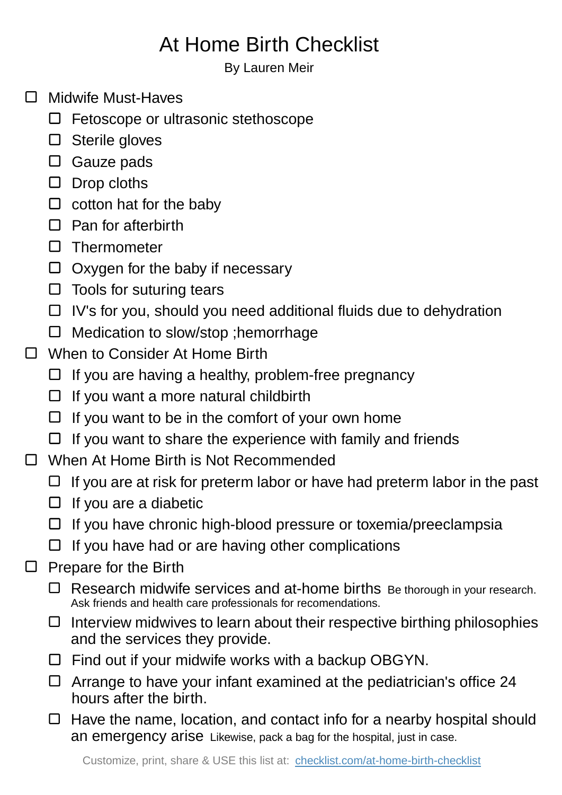## At Home Birth Checklist

By Lauren Meir

- □ Midwife Must-Haves
	- □ Fetoscope or ultrasonic stethoscope
	- □ Sterile gloves
	- □ Gauze pads
	- $\square$  Drop cloths
	- $\Box$  cotton hat for the baby
	- $\Box$  Pan for afterbirth
	- □ Thermometer
	- $\Box$  Oxygen for the baby if necessary
	- $\Box$  Tools for suturing tears
	- $\Box$  IV's for you, should you need additional fluids due to dehydration
	- $\Box$  Medication to slow/stop ; hemorrhage
- □ When to Consider At Home Birth
	- $\Box$  If you are having a healthy, problem-free pregnancy
	- $\Box$  If you want a more natural childbirth
	- $\Box$  If you want to be in the comfort of your own home
	- $\Box$  If you want to share the experience with family and friends
- $\Box$ When At Home Birth is Not Recommended
	- $\Box$  If you are at risk for preterm labor or have had preterm labor in the past
	- $\Box$  If you are a diabetic
	- $\Box$  If you have chronic high-blood pressure or toxemia/preeclampsia
	- $\Box$  If you have had or are having other complications
- Prepare for the Birth  $\Box$ 
	- $\Box$  Research midwife services and at-home births Be thorough in your research. Ask friends and health care professionals for recomendations.
	- $\Box$  Interview midwives to learn about their respective birthing philosophies and the services they provide.
	- $\Box$  Find out if your midwife works with a backup OBGYN.
	- $\Box$  Arrange to have your infant examined at the pediatrician's office 24 hours after the birth.
	- $\Box$  Have the name, location, and contact info for a nearby hospital should an emergency arise Likewise, pack a bag for the hospital, just in case.